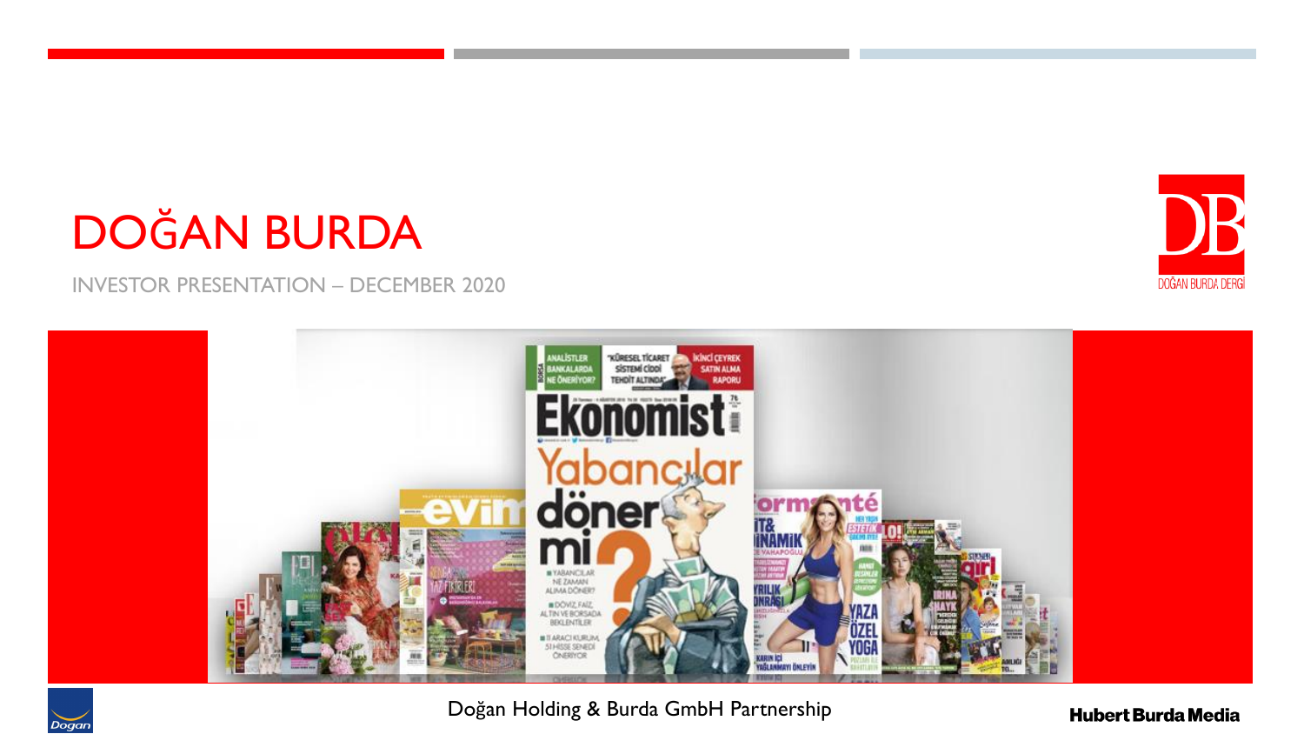# DOĞAN BURDA

INVESTOR PRESENTATION – DECEMBER 2020



Doğan Holding & Burda GmbH Partnership

**Hubert Burda Media** 



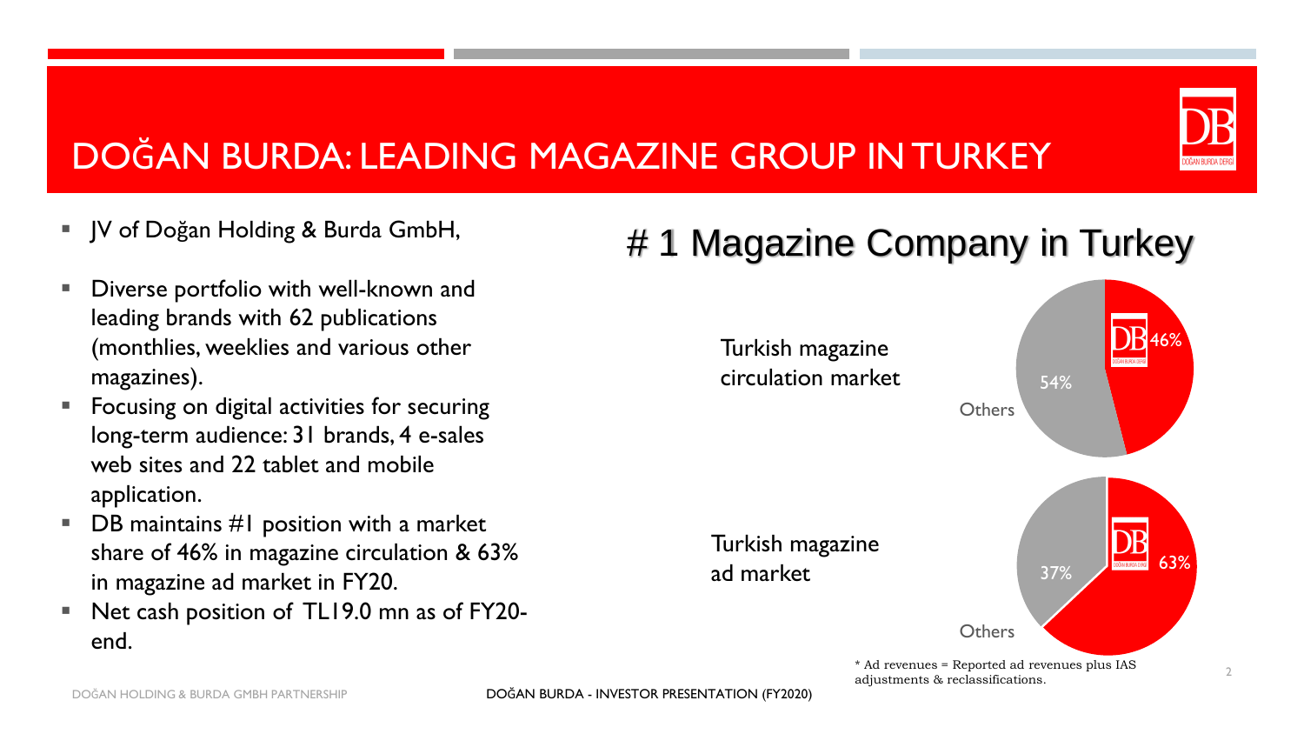# DOĞAN BURDA: LEADING MAGAZINE GROUP IN TURKEY

- JV of Doğan Holding & Burda GmbH,
- Diverse portfolio with well-known and leading brands with 62 publications (monthlies, weeklies and various other magazines).
- Focusing on digital activities for securing long-term audience: 31 brands, 4 e-sales web sites and 22 tablet and mobile application.
- $\blacksquare$  DB maintains #1 position with a market share of 46% in magazine circulation & 63% in magazine ad market in FY20.
- Net cash position of TL19.0 mn as of FY20end.

# # 1 Magazine Company in Turkey

Turkish magazine circulation market



**Others** 

54%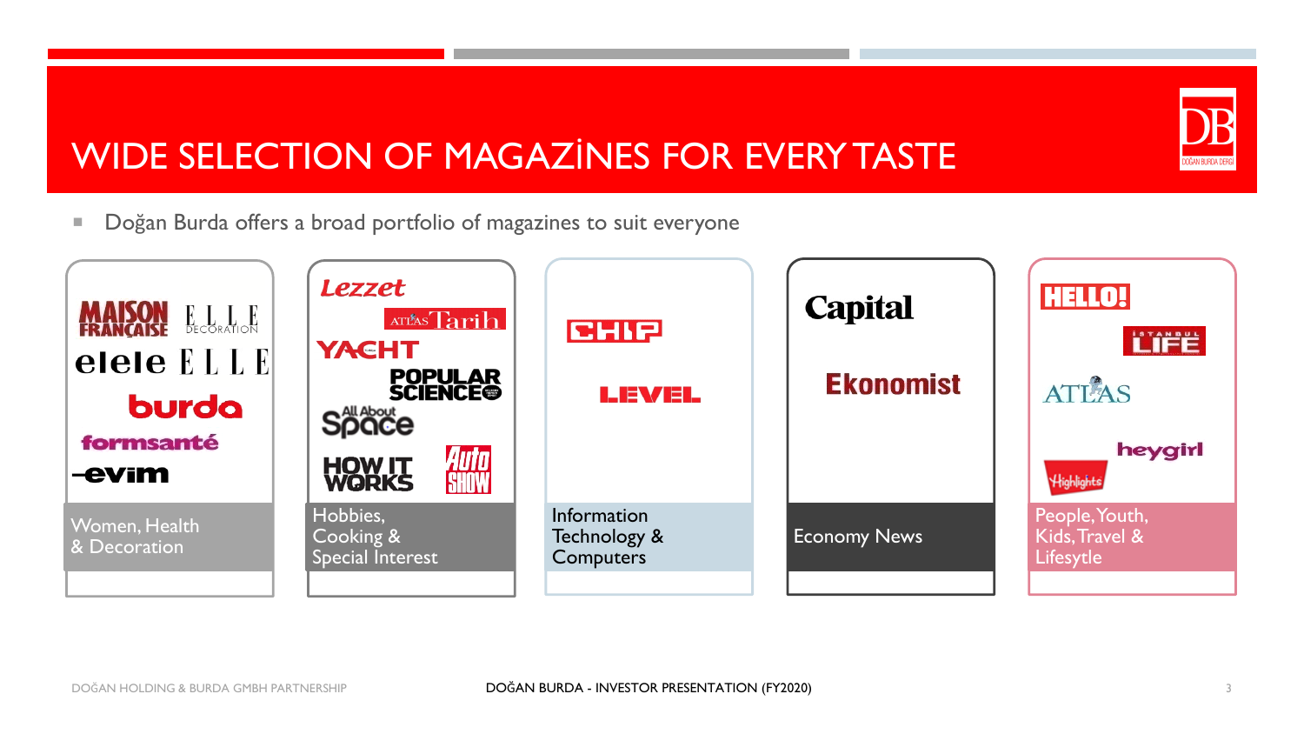# DOĞAN BURDA DERG

# WIDE SELECTION OF MAGAZİNES FOR EVERY TASTE

**Dogan Burda offers a broad portfolio of magazines to suit everyone** 

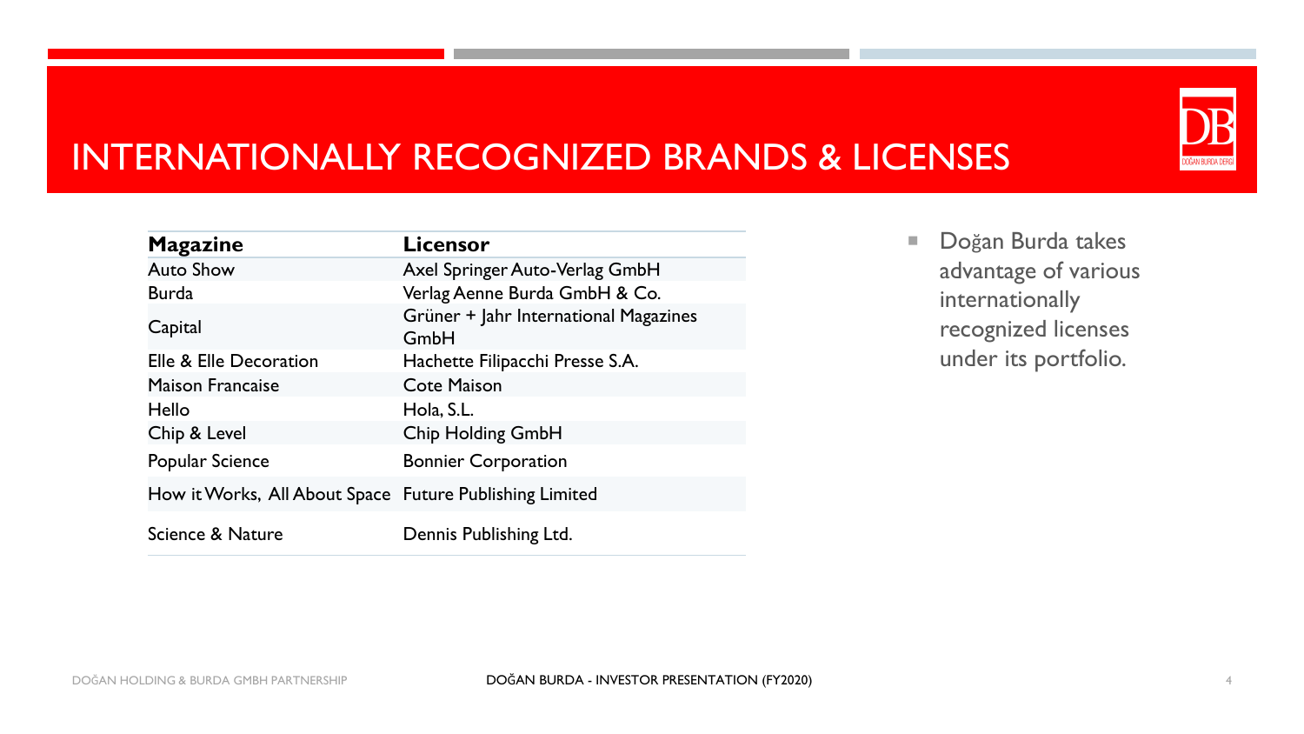# INTERNATIONALLY RECOGNIZED BRANDS & LICENSES

| <b>Magazine</b>                                         | <b>Licensor</b>                               |
|---------------------------------------------------------|-----------------------------------------------|
| <b>Auto Show</b>                                        | Axel Springer Auto-Verlag GmbH                |
| <b>Burda</b>                                            | Verlag Aenne Burda GmbH & Co.                 |
| Capital                                                 | Grüner + Jahr International Magazines<br>GmbH |
| Elle & Elle Decoration                                  | Hachette Filipacchi Presse S.A.               |
| <b>Maison Francaise</b>                                 | <b>Cote Maison</b>                            |
| Hello                                                   | Hola, S.L.                                    |
| Chip & Level                                            | Chip Holding GmbH                             |
| Popular Science                                         | <b>Bonnier Corporation</b>                    |
| How it Works, All About Space Future Publishing Limited |                                               |
| Science & Nature                                        | Dennis Publishing Ltd.                        |

Doğan Burda takes advantage of various internationally recognized licenses under its portfolio.

)OĞAN BURDA DERG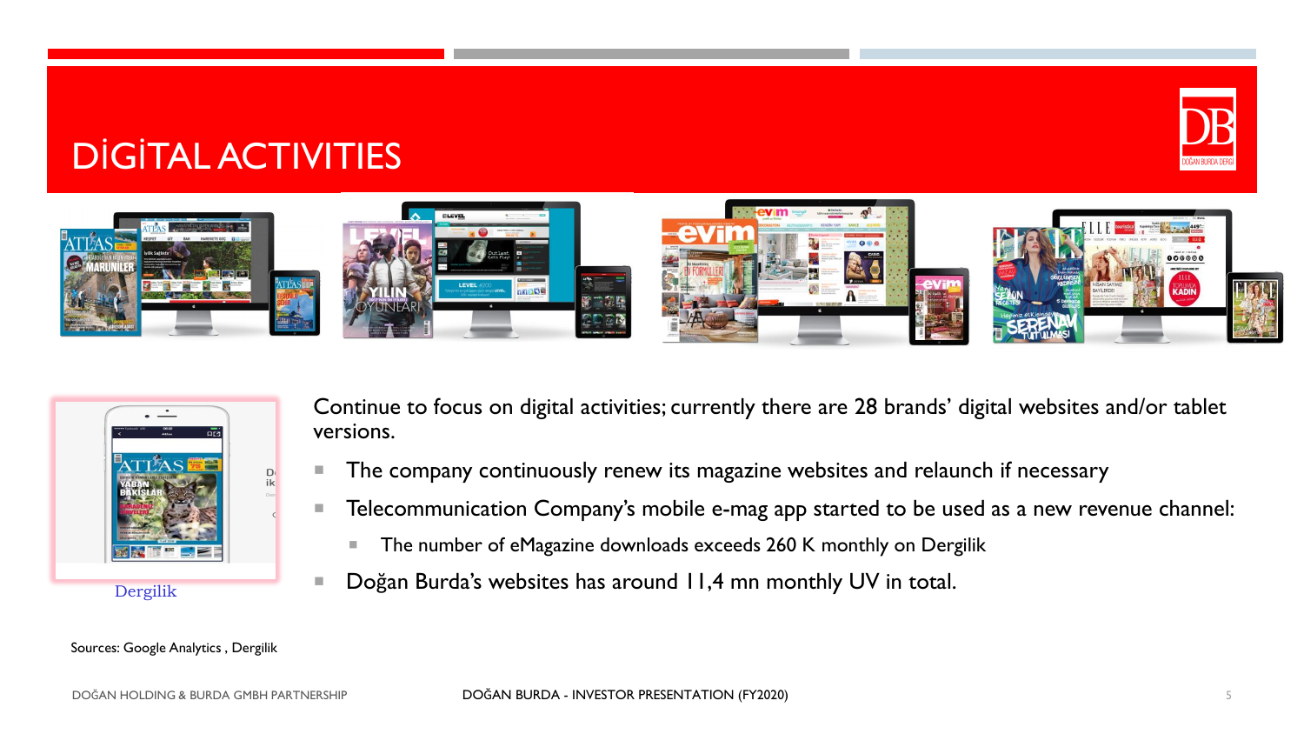# DİGİTAL ACTIVITIES





Continue to focus on digital activities; currently there are 28 brands' digital websites and/or tablet versions.

- The company continuously renew its magazine websites and relaunch if necessary
- **Telecommunication Company's mobile e-mag app started to be used as a new revenue channel:** 
	- The number of eMagazine downloads exceeds 260 K monthly on Dergilik
- Doğan Burda's websites has around 11,4 mn monthly UV in total.

Sources: Google Analytics , Dergilik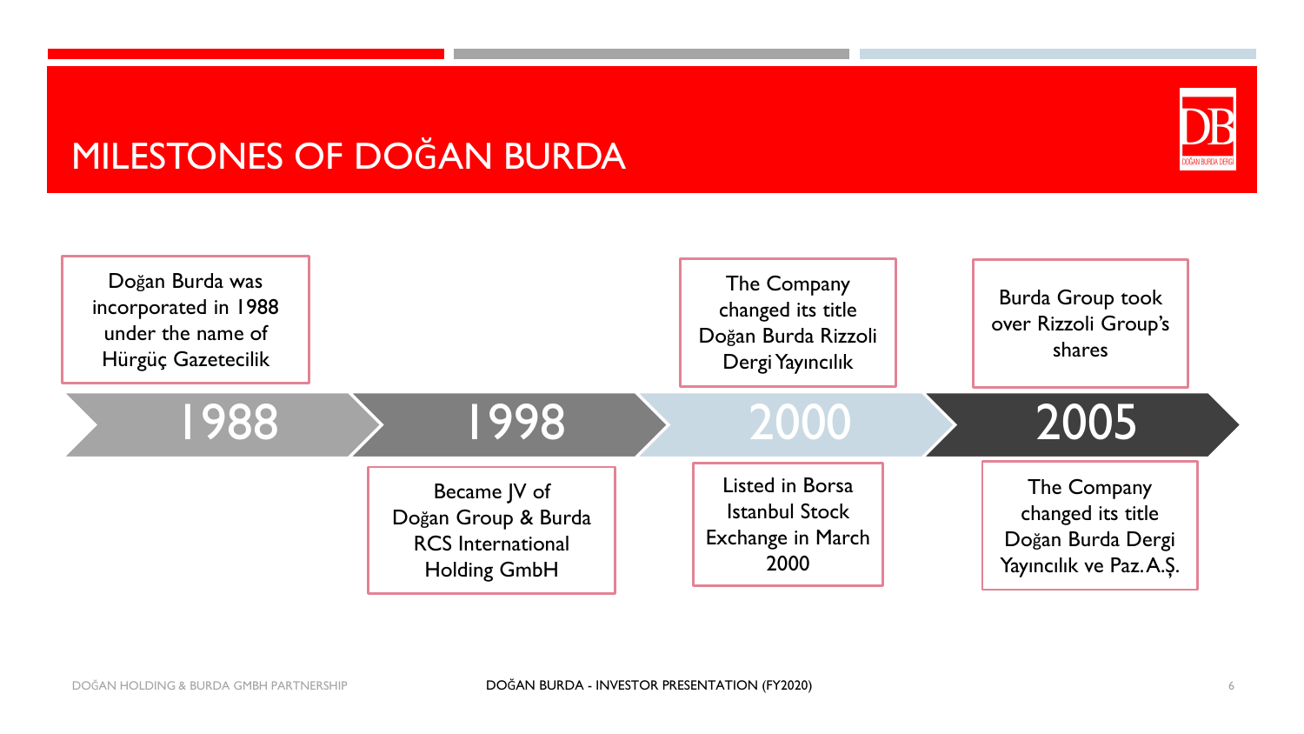# MILESTONES OF DOĞAN BURDA



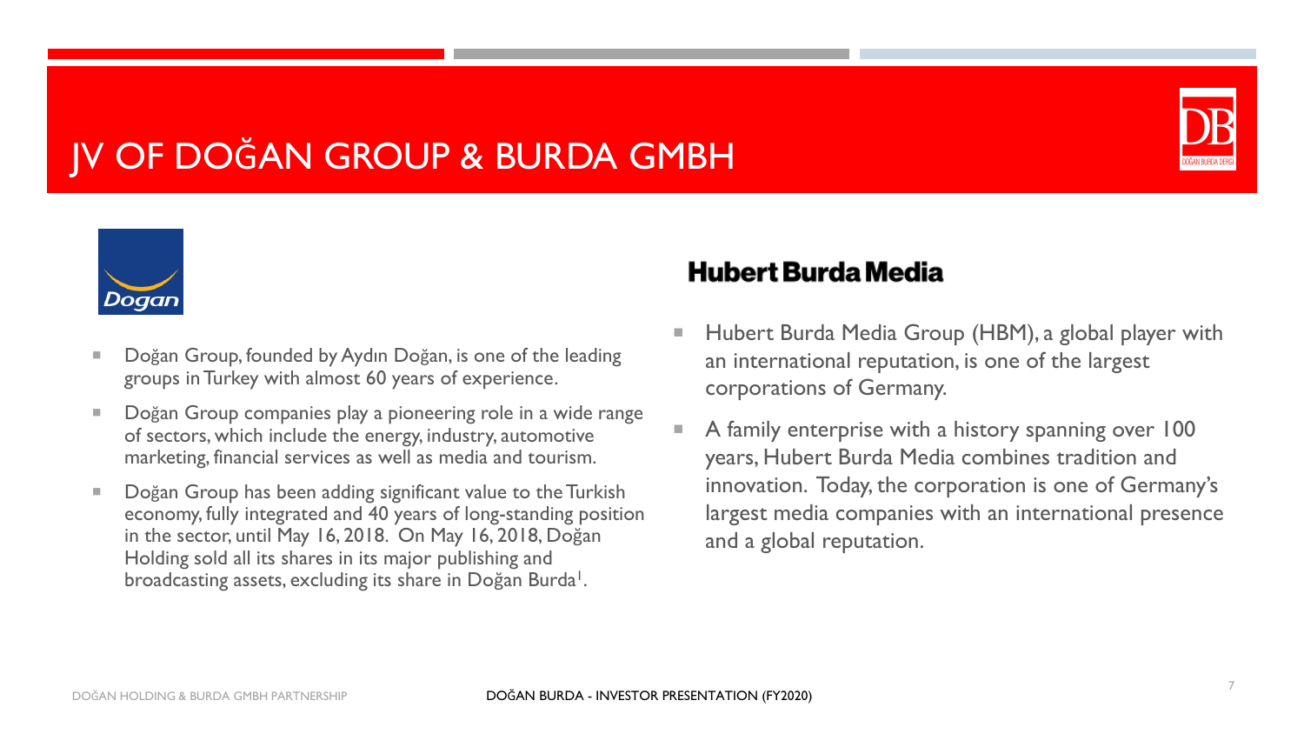# JV OF DOĞAN GROUP & BURDA GMBH





- Doğan Group, founded by Aydın Doğan, is one of the leading groups in Turkey with almost 60 years of experience.
- Doğan Group companies play a pioneering role in a wide range of sectors, which include the energy, industry, automotive marketing, financial services as well as media and tourism.
- Doğan Group has been adding significant value to the Turkish economy, fully integrated and 40 years of long-standing position in the sector, until May 16, 2018. On May 16, 2018, Doğan Holding sold all its shares in its major publishing and broadcasting assets, excluding its share in Doğan Burda<sup>1</sup>.

#### **Hubert Burda Media**

- Hubert Burda Media Group (HBM), a global player with an international reputation, is one of the largest corporations of Germany.
- A family enterprise with a history spanning over 100 years, Hubert Burda Media combines tradition and innovation. Today, the corporation is one of Germany's largest media companies with an international presence and a global reputation.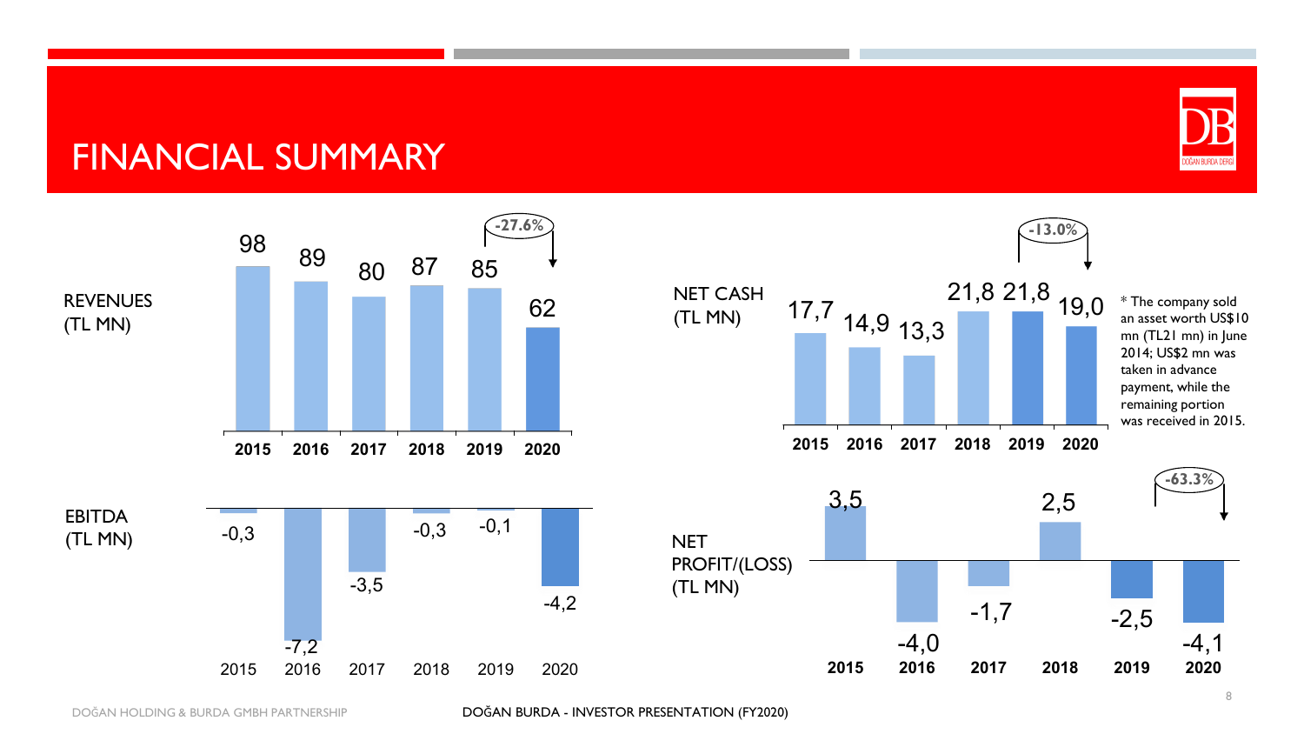# DOĞAN BURDA DERG

#### FINANCIAL SUMMARY

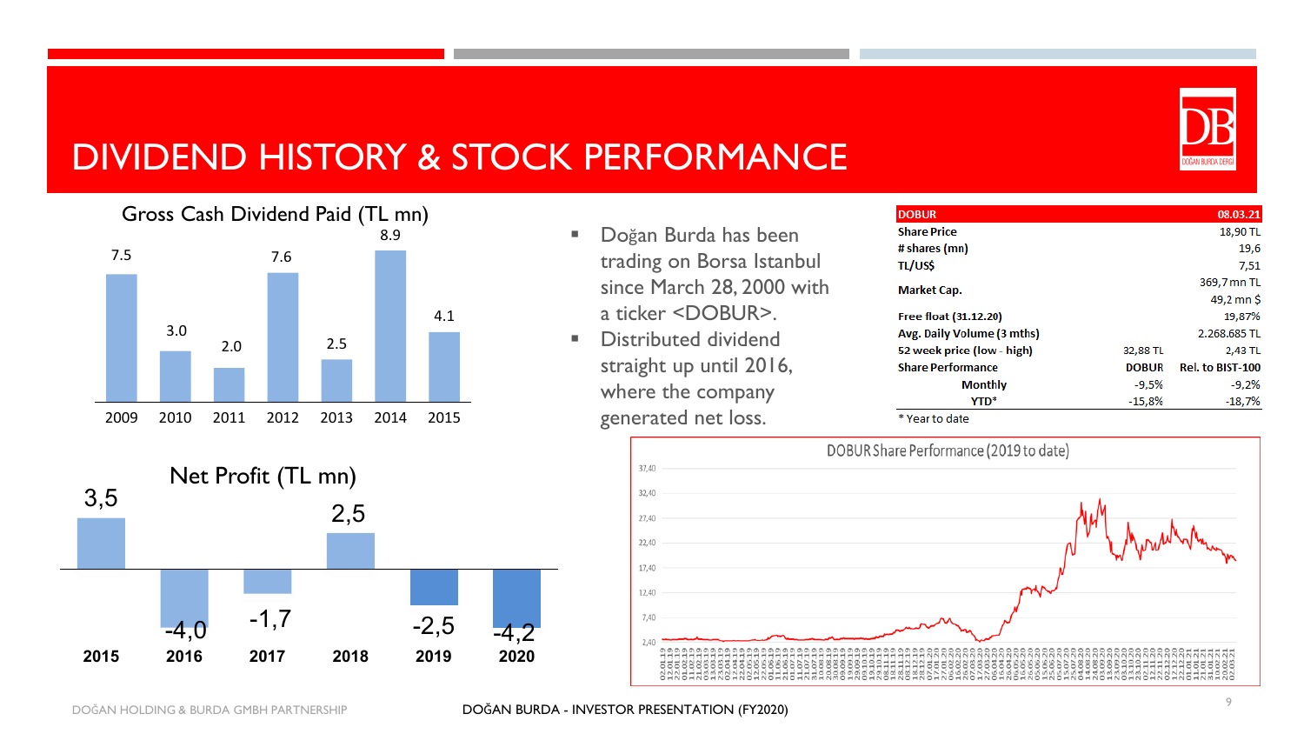

# DIVIDEND HISTORY & STOCK PERFORMANCE



- Doğan Burda has been trading on Borsa Istanbul since March 28, 2000 with a ticker <DOBUR>.
- Distributed dividend straight up until 2016, where the company generated net loss.

| <b>DOBUR</b>               |              | 08.03.21                |
|----------------------------|--------------|-------------------------|
| <b>Share Price</b>         |              | 18,90 TL                |
| # shares (mn)              |              | 19,6                    |
| TL/US\$                    |              | 7,51                    |
| <b>Market Cap.</b>         |              | 369,7 mn TL             |
|                            |              | 49,2 mn \$              |
| Free float (31.12.20)      |              | 19,87%                  |
| Avg. Daily Volume (3 mths) |              | 2.268.685 TL            |
| 52 week price (low - high) | 32,88 TL     | 2,43 TL                 |
| <b>Share Performance</b>   | <b>DOBUR</b> | <b>Rel. to BIST-100</b> |
| <b>Monthly</b>             | $-9,5%$      | $-9,2%$                 |
| <b>YTD*</b>                | $-15,8%$     | $-18,7%$                |
|                            |              |                         |

\* Year to date



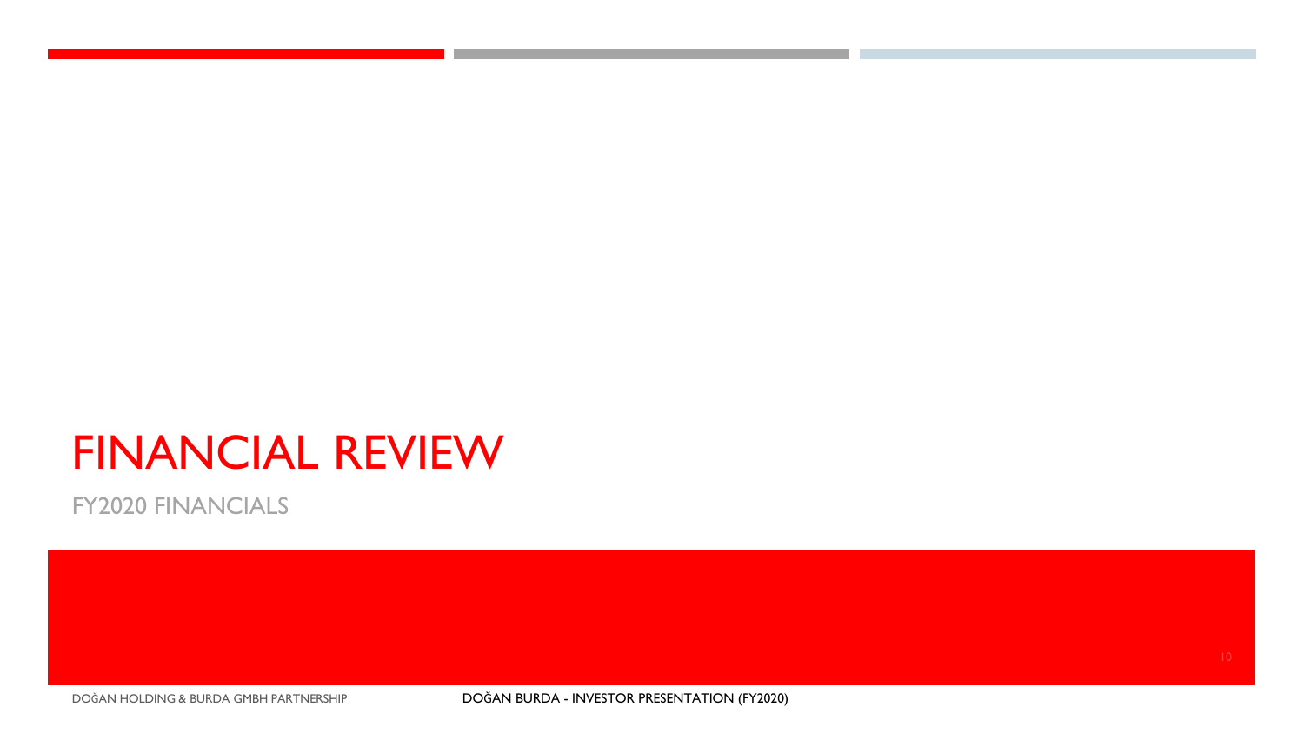# FINANCIAL REVIEW

FY2020 FINANCIALS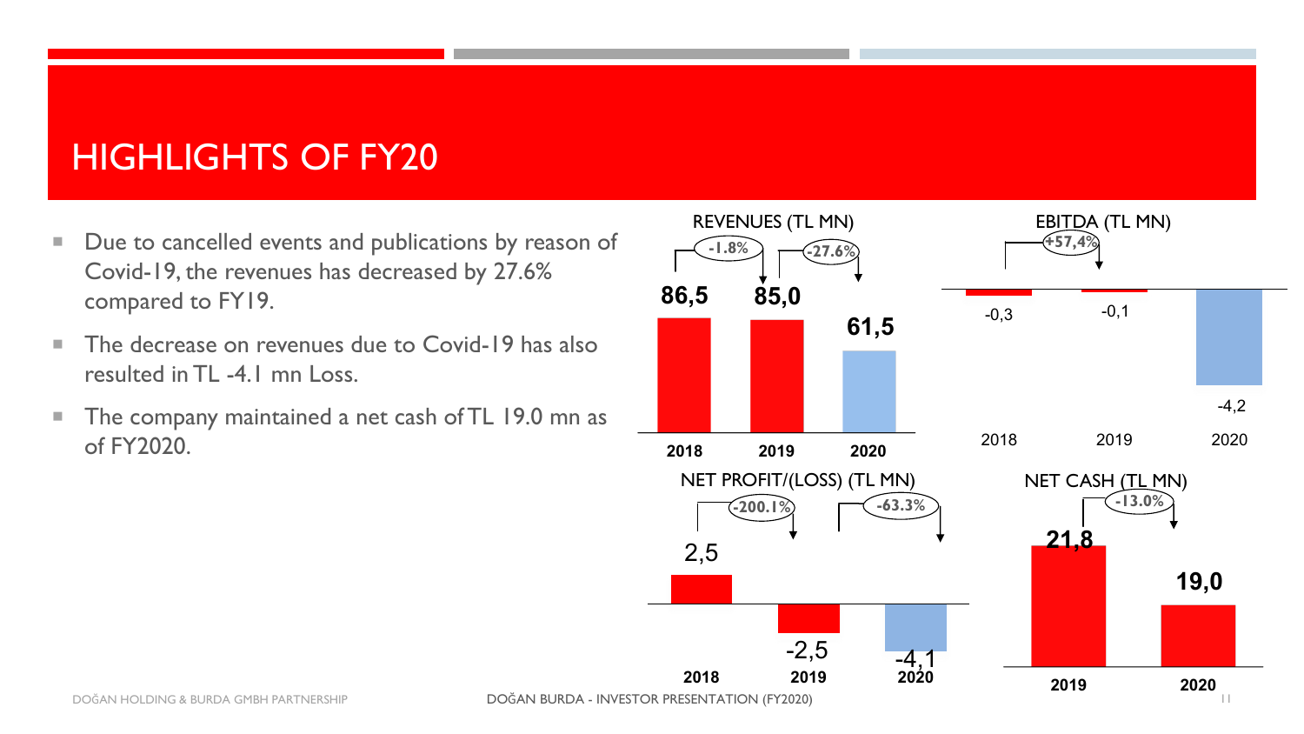# HIGHLIGHTS OF FY20

- Due to cancelled events and publications by reason of Covid-19, the revenues has decreased by 27.6% compared to FY19.
- The decrease on revenues due to Covid-19 has also resulted in TL -4.1 mn Loss.
- **The company maintained a net cash of TL 19.0 mn as** of FY2020.

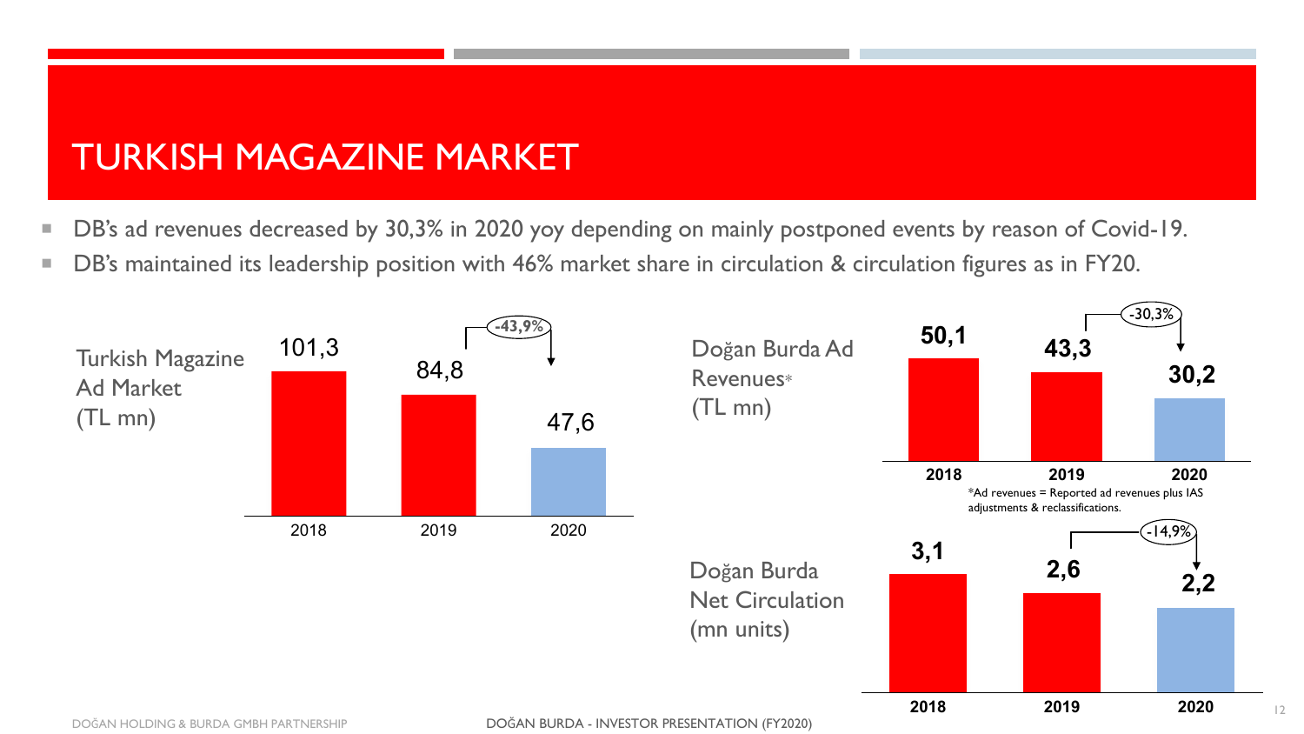# TURKISH MAGAZINE MARKET

- DB's ad revenues decreased by 30,3% in 2020 yoy depending on mainly postponed events by reason of Covid-19.
- DB's maintained its leadership position with 46% market share in circulation & circulation figures as in FY20.

![](_page_11_Figure_3.jpeg)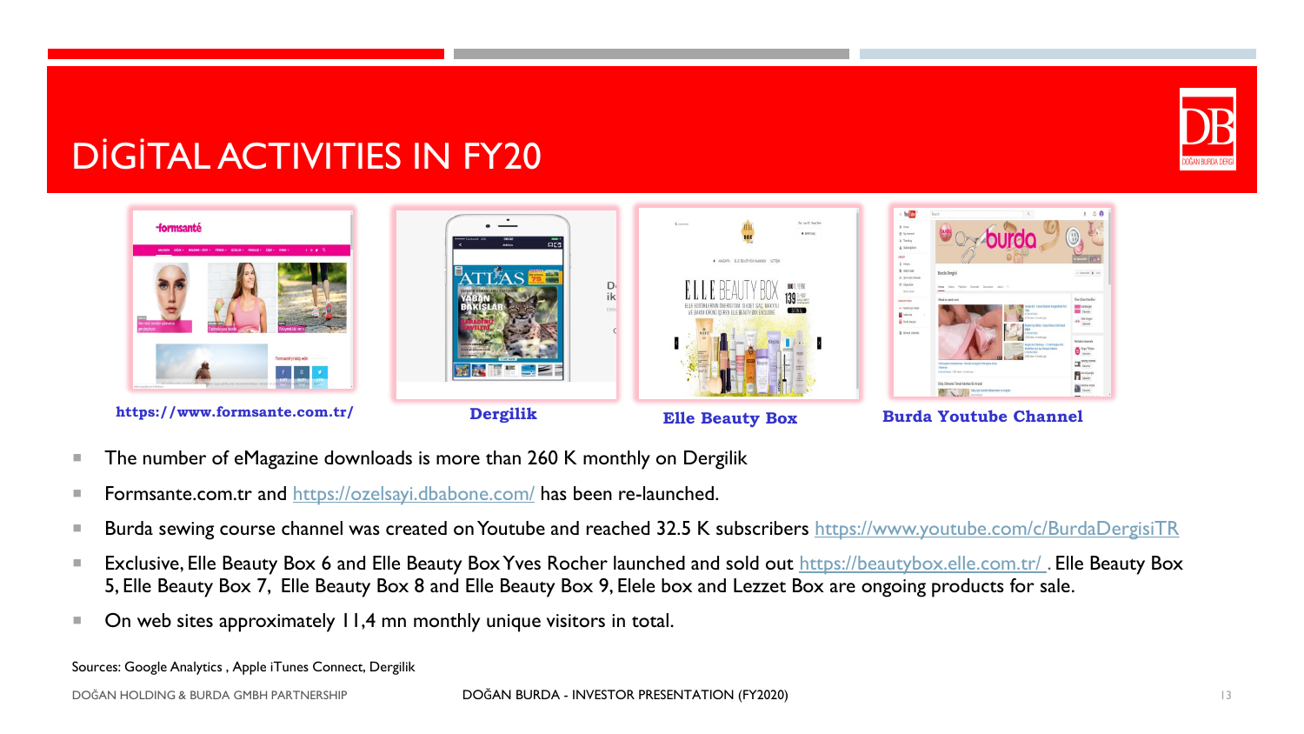![](_page_12_Picture_0.jpeg)

# DİGİTAL ACTIVITIES IN FY20

![](_page_12_Figure_2.jpeg)

- The number of eMagazine downloads is more than 260 K monthly on Dergilik
- **Formsante.com.tr and <https://ozelsayi.dbabone.com/> has been re-launched.**
- Burda sewing course channel was created on Youtube and reached 32.5 K subscribers <https://www.youtube.com/c/BurdaDergisiTR>
- Exclusive, Elle Beauty Box 6 and Elle Beauty Box Yves Rocher launched and sold out https://beautybox.elle.com.tr/. Elle Beauty Box 5, Elle Beauty Box 7, Elle Beauty Box 8 and Elle Beauty Box 9, Elele box and Lezzet Box are ongoing products for sale.
- $\blacksquare$  On web sites approximately 11,4 mn monthly unique visitors in total.

Sources: Google Analytics , Apple iTunes Connect, Dergilik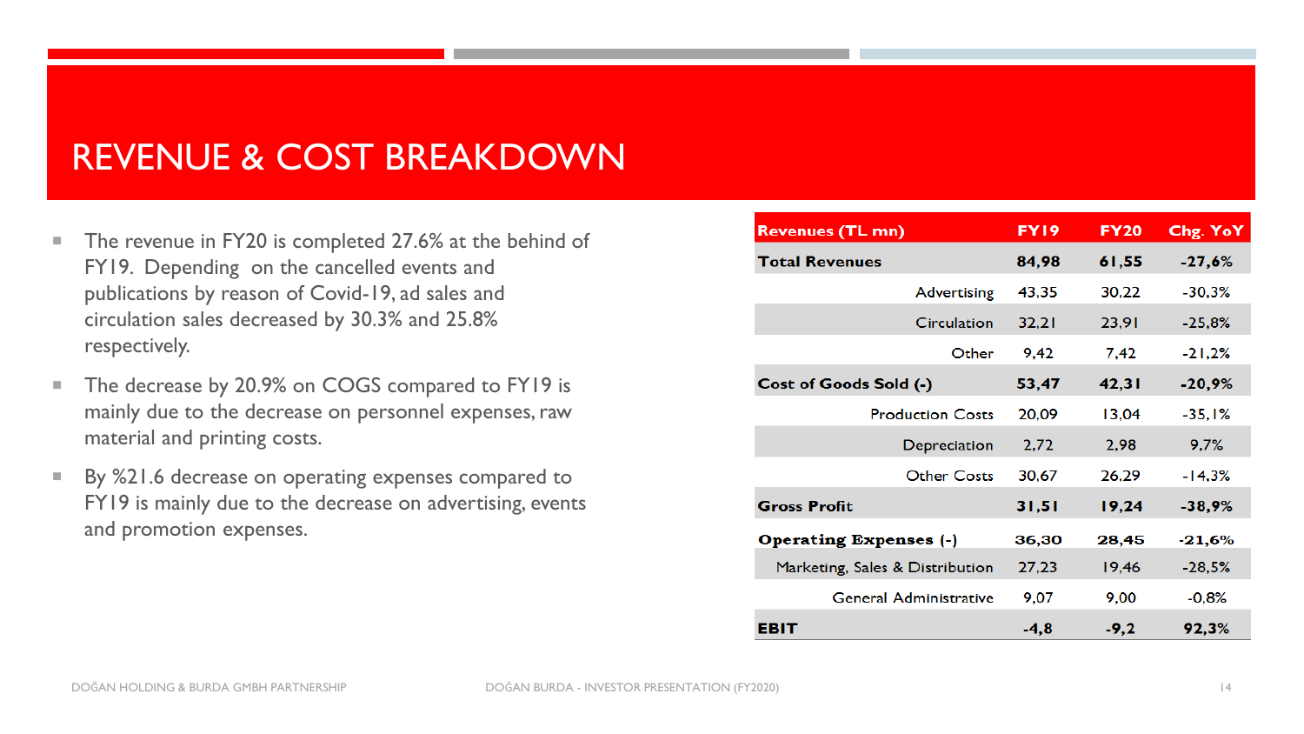## REVENUE & COST BREAKDOWN

- The revenue in FY20 is completed 27.6% at the behind of FY19. Depending on the cancelled events and publications by reason of Covid-19, ad sales and circulation sales decreased by 30.3% and 25.8% respectively.
- The decrease by 20.9% on COGS compared to FY19 is mainly due to the decrease on personnel expenses, raw material and printing costs.
- By %21.6 decrease on operating expenses compared to FY19 is mainly due to the decrease on advertising, events and promotion expenses.

| <b>Revenues (TL mn)</b>         | FY19   | <b>FY20</b> | Chg. YoY |
|---------------------------------|--------|-------------|----------|
| <b>Total Revenues</b>           | 84,98  | 61,55       | $-27,6%$ |
| <b>Advertising</b>              | 43,35  | 30,22       | $-30,3%$ |
| Circulation                     | 32,21  | 23,91       | $-25,8%$ |
| Other                           | 9,42   | 7,42        | $-21,2%$ |
| Cost of Goods Sold (-)          | 53,47  | 42,31       | $-20,9%$ |
| <b>Production Costs</b>         | 20,09  | 13,04       | $-35,1%$ |
| Depreciation                    | 2,72   | 2,98        | 9,7%     |
| <b>Other Costs</b>              | 30,67  | 26,29       | $-14,3%$ |
| <b>Gross Profit</b>             | 31,51  | 19,24       | $-38,9%$ |
| <b>Operating Expenses (-)</b>   | 36,30  | 28,45       | $-21,6%$ |
| Marketing, Sales & Distribution | 27,23  | 19,46       | $-28,5%$ |
| <b>General Administrative</b>   | 9,07   | 9.00        | $-0.8%$  |
| EBIT                            | $-4,8$ | $-9,2$      | 92,3%    |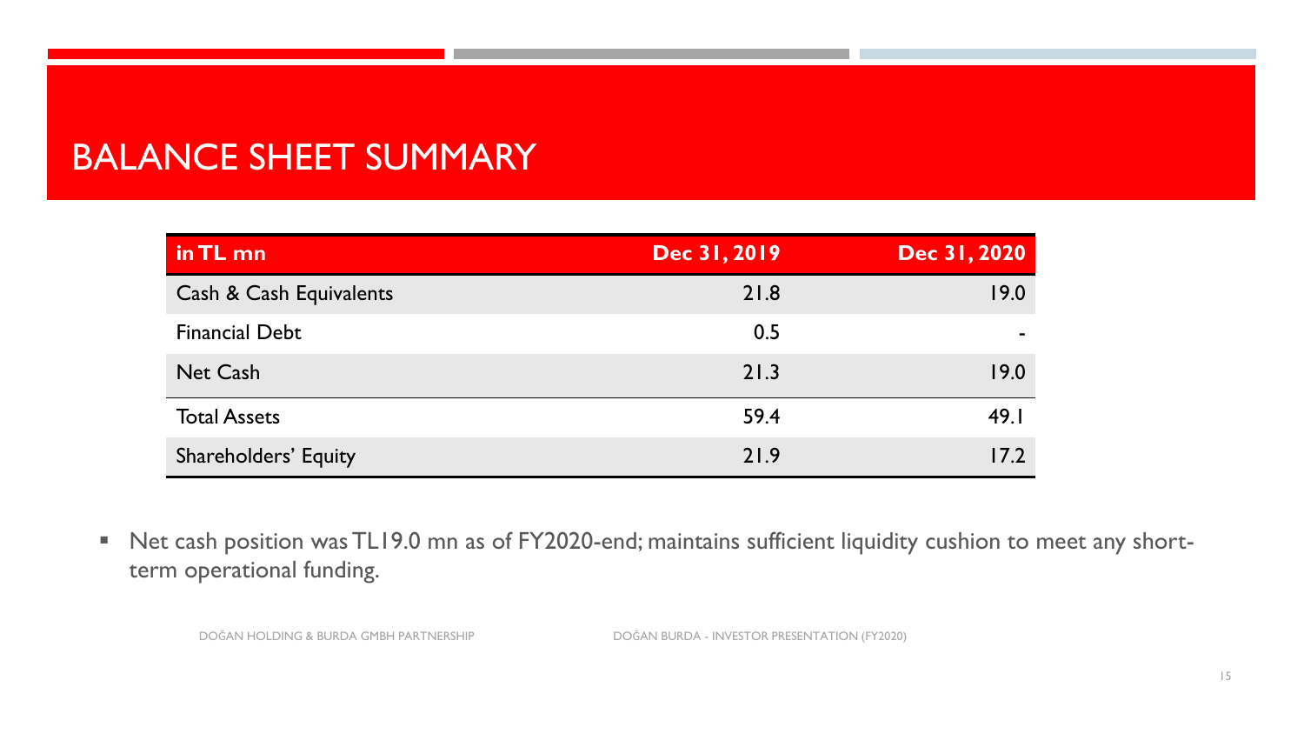# BALANCE SHEET SUMMARY

| in TL mn                    | Dec 31, 2019 | Dec 31, 2020 |
|-----------------------------|--------------|--------------|
| Cash & Cash Equivalents     | 21.8         | 19.0         |
| <b>Financial Debt</b>       | 0.5          |              |
| <b>Net Cash</b>             | 21.3         | 19.0         |
| <b>Total Assets</b>         | 59.4         | 49.1         |
| <b>Shareholders' Equity</b> | 21.9         | 17.2         |

■ Net cash position was TL19.0 mn as of FY2020-end; maintains sufficient liquidity cushion to meet any shortterm operational funding.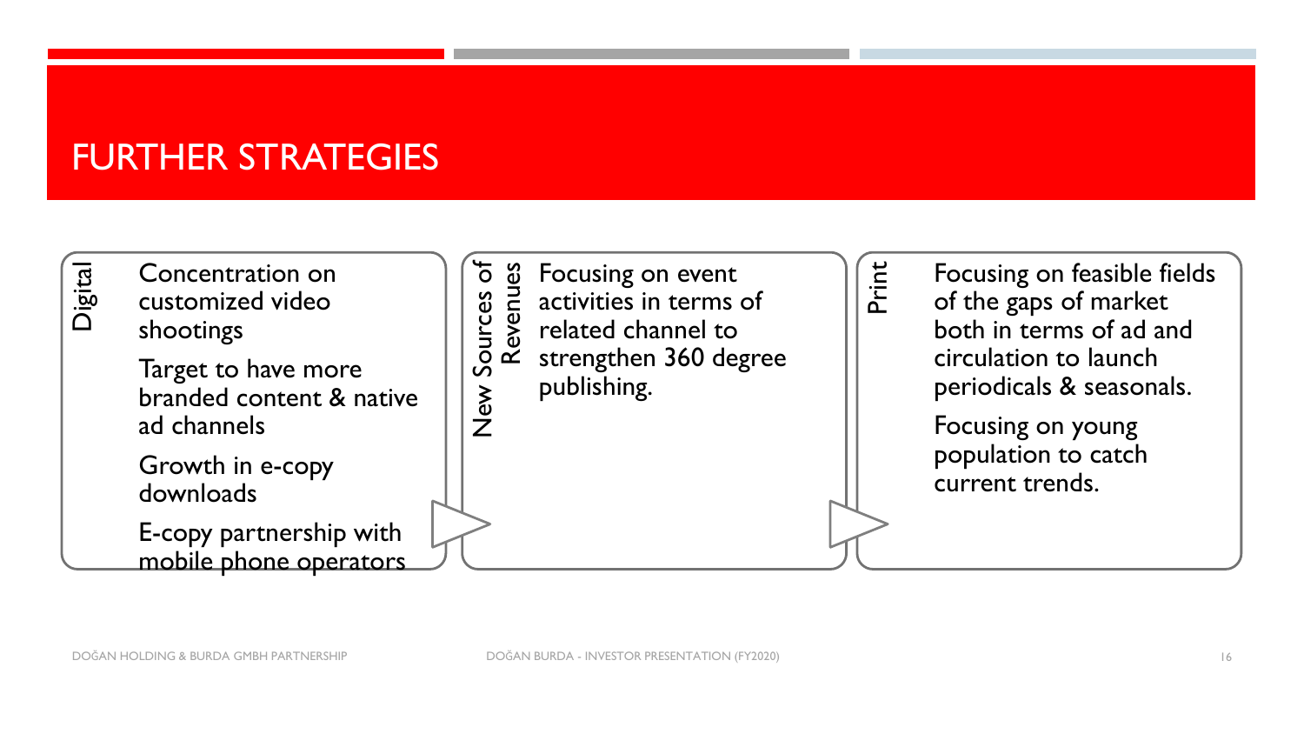## FURTHER STRATEGIES

![](_page_15_Figure_1.jpeg)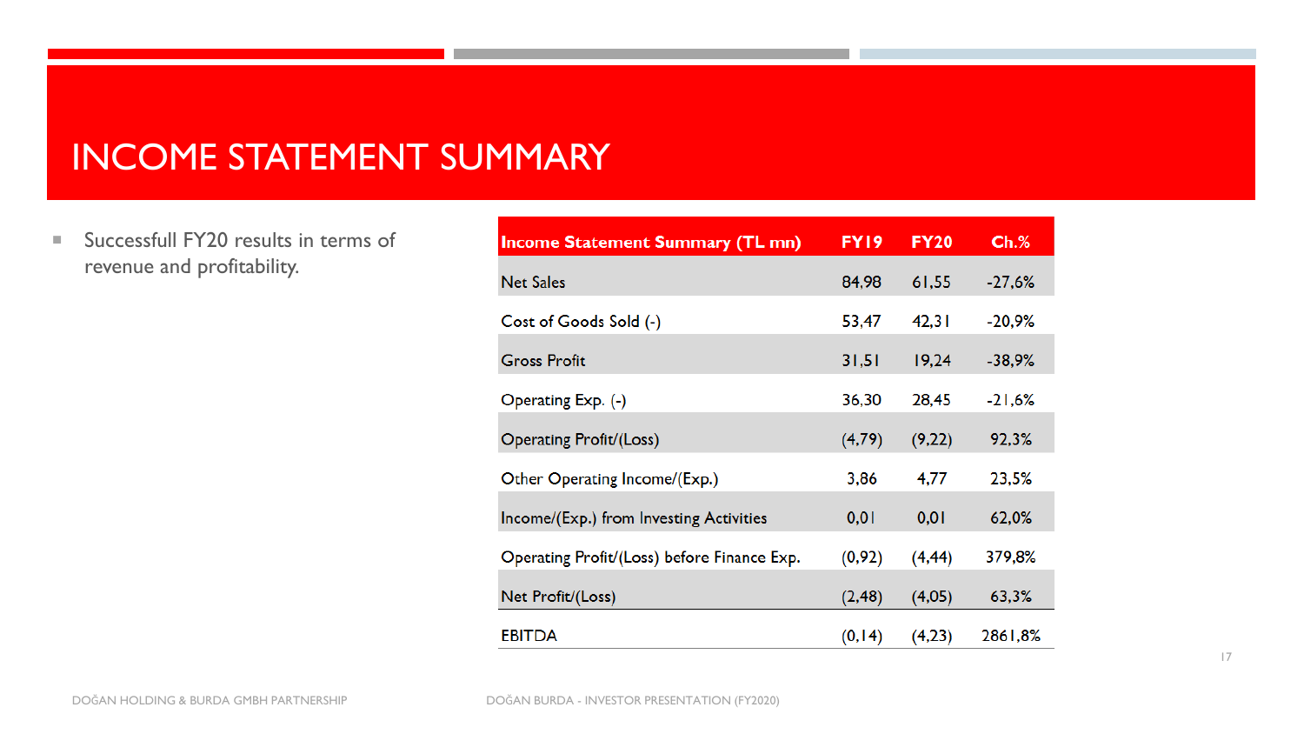## INCOME STATEMENT SUMMARY

■ Successfull FY20 results in terms of revenue and profitability.

| <b>Income Statement Summary (TL mn)</b>     | FY19    | <b>FY20</b> | $Ch.\%$  |
|---------------------------------------------|---------|-------------|----------|
| <b>Net Sales</b>                            | 84,98   | 61,55       | $-27,6%$ |
| Cost of Goods Sold (-)                      | 53,47   | 42,31       | $-20,9%$ |
| <b>Gross Profit</b>                         | 31,51   | 19,24       | $-38,9%$ |
| Operating Exp. (-)                          | 36,30   | 28,45       | $-21,6%$ |
| Operating Profit/(Loss)                     | (4,79)  | (9,22)      | 92,3%    |
| Other Operating Income/(Exp.)               | 3,86    | 4,77        | 23,5%    |
| Income/(Exp.) from Investing Activities     | 0,01    | 0,01        | 62,0%    |
| Operating Profit/(Loss) before Finance Exp. | (0, 92) | (4, 44)     | 379,8%   |
| Net Profit/(Loss)                           | (2, 48) | (4,05)      | 63,3%    |
| <b>EBITDA</b>                               | (0, 14) | (4,23)      | 2861,8%  |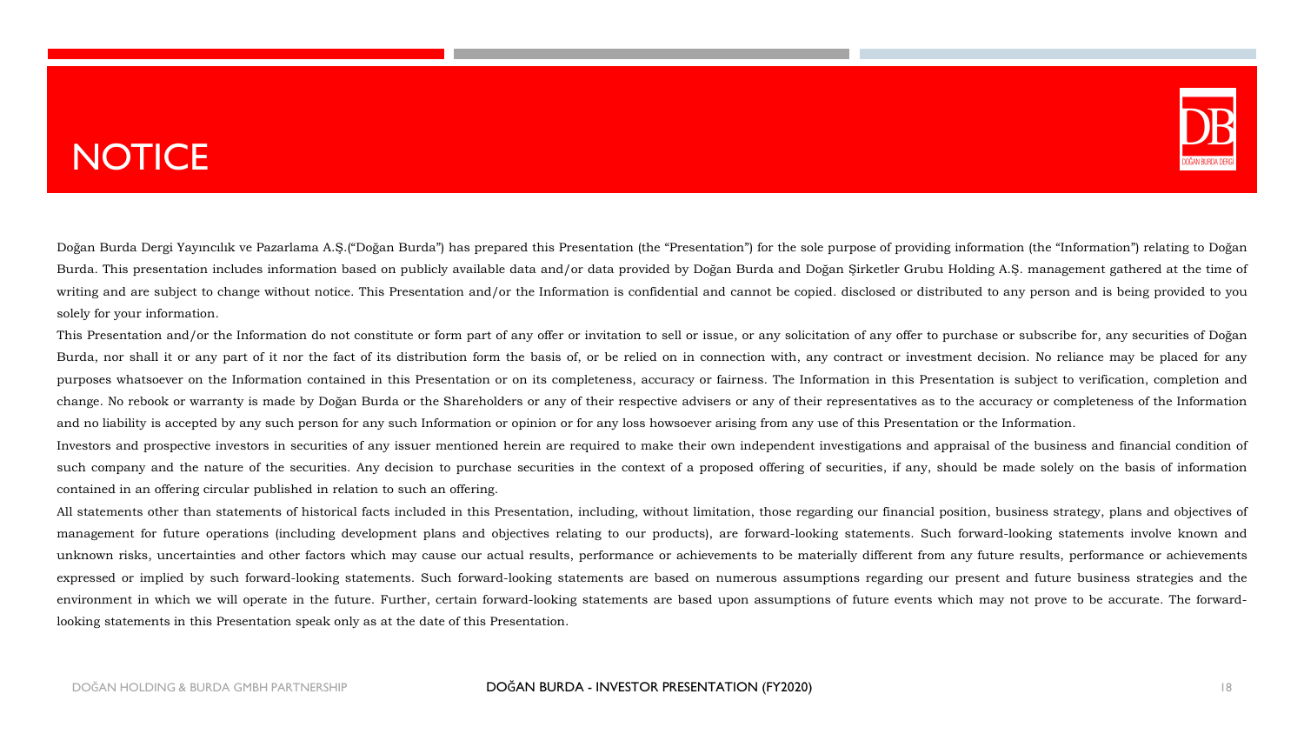# **NOTICE**

![](_page_17_Picture_1.jpeg)

Doğan Burda Dergi Yayıncılık ve Pazarlama A.Ş.("Doğan Burda") has prepared this Presentation (the "Presentation") for the sole purpose of providing information (the "Information") relating to Doğan Burda. This presentation includes information based on publicly available data and/or data provided by Doğan Burda and Doğan Şirketler Grubu Holding A.Ş. management gathered at the time of writing and are subject to change without notice. This Presentation and/or the Information is confidential and cannot be copied. disclosed or distributed to any person and is being provided to you solely for your information.

This Presentation and/or the Information do not constitute or form part of any offer or invitation to sell or issue, or any solicitation of any offer to purchase or subscribe for, any securities of Doğan Burda, nor shall it or any part of it nor the fact of its distribution form the basis of, or be relied on in connection with, any contract or investment decision. No reliance may be placed for any purposes whatsoever on the Information contained in this Presentation or on its completeness, accuracy or fairness. The Information in this Presentation is subject to verification, completion and change. No rebook or warranty is made by Doğan Burda or the Shareholders or any of their respective advisers or any of their representatives as to the accuracy or completeness of the Information and no liability is accepted by any such person for any such Information or opinion or for any loss howsoever arising from any use of this Presentation or the Information.

Investors and prospective investors in securities of any issuer mentioned herein are required to make their own independent investigations and appraisal of the business and financial condition of such company and the nature of the securities. Any decision to purchase securities in the context of a proposed offering of securities, if any, should be made solely on the basis of information contained in an offering circular published in relation to such an offering.

All statements other than statements of historical facts included in this Presentation, including, without limitation, those regarding our financial position, business strategy, plans and objectives of management for future operations (including development plans and objectives relating to our products), are forward-looking statements. Such forward-looking statements involve known and unknown risks, uncertainties and other factors which may cause our actual results, performance or achievements to be materially different from any future results, performance or achievements expressed or implied by such forward-looking statements. Such forward-looking statements are based on numerous assumptions regarding our present and future business strategies and the environment in which we will operate in the future. Further, certain forward-looking statements are based upon assumptions of future events which may not prove to be accurate. The forwardlooking statements in this Presentation speak only as at the date of this Presentation.